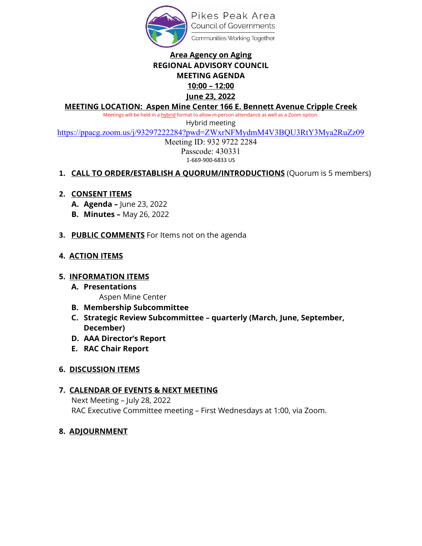

## **Area Agency on Aging REGIONAL ADVISORY COUNCIL MEETING AGENDA 10:00 – 12:00 June 23, 2022**

### **MEETING LOCATION: Aspen Mine Center 166 E. Bennett Avenue Cripple Creek**

Meetings will be held in a hybrid format to allow in-person attendance as well as a Zoom option.

Hybrid meeting

<https://ppacg.zoom.us/j/93297222284?pwd=ZWxrNFMydmM4V3BQU3RtY3Mya2RuZz09>

Meeting ID: 932 9722 2284 Passcode: 430331 1-669-900-6833 US

### **1. CALL TO ORDER/ESTABLISH A QUORUM/INTRODUCTIONS** (Quorum is 5 members)

### **2. CONSENT ITEMS**

- **A. Agenda –** June 23, 2022
- **B. Minutes –** May 26, 2022
- **3. PUBLIC COMMENTS** For Items not on the agenda

### **4. ACTION ITEMS**

### **5. INFORMATION ITEMS**

- **A. Presentations**
	- Aspen Mine Center
- **B. Membership Subcommittee**
- **C. Strategic Review Subcommittee – quarterly (March, June, September, December)**
- **D. AAA Director's Report**
- **E. RAC Chair Report**

### **6. DISCUSSION ITEMS**

### **7. CALENDAR OF EVENTS & NEXT MEETING**

Next Meeting – July 28, 2022 RAC Executive Committee meeting – First Wednesdays at 1:00, via Zoom.

### **8. ADJOURNMENT**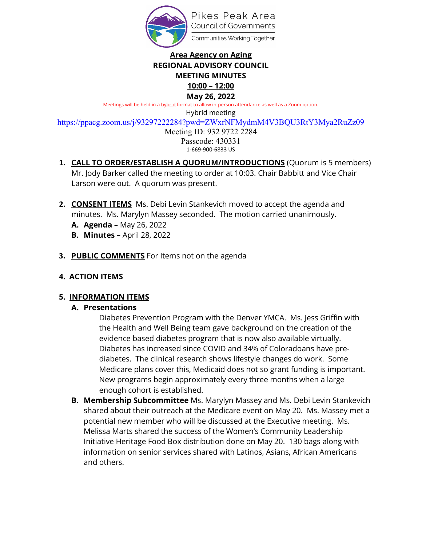

# **Area Agency on Aging REGIONAL ADVISORY COUNCIL MEETING MINUTES**

#### **10:00 – 12:00 May 26, 2022**

Meetings will be held in a hybrid format to allow in-person attendance as well as a Zoom option.

Hybrid meeting

<https://ppacg.zoom.us/j/93297222284?pwd=ZWxrNFMydmM4V3BQU3RtY3Mya2RuZz09>

Meeting ID: 932 9722 2284 Passcode: 430331 1-669-900-6833 US

- **1. CALL TO ORDER/ESTABLISH A QUORUM/INTRODUCTIONS** (Quorum is 5 members) Mr. Jody Barker called the meeting to order at 10:03. Chair Babbitt and Vice Chair Larson were out. A quorum was present.
- **2. CONSENT ITEMS** Ms. Debi Levin Stankevich moved to accept the agenda and minutes. Ms. Marylyn Massey seconded. The motion carried unanimously.
	- **A. Agenda** May 26, 2022
	- **B. Minutes** April 28, 2022
- **3. PUBLIC COMMENTS** For Items not on the agenda

## **4. ACTION ITEMS**

## **5. INFORMATION ITEMS**

## **A. Presentations**

Diabetes Prevention Program with the Denver YMCA. Ms. Jess Griffin with the Health and Well Being team gave background on the creation of the evidence based diabetes program that is now also available virtually. Diabetes has increased since COVID and 34% of Coloradoans have prediabetes. The clinical research shows lifestyle changes do work. Some Medicare plans cover this, Medicaid does not so grant funding is important. New programs begin approximately every three months when a large enough cohort is established.

**B. Membership Subcommittee** Ms. Marylyn Massey and Ms. Debi Levin Stankevich shared about their outreach at the Medicare event on May 20. Ms. Massey met a potential new member who will be discussed at the Executive meeting. Ms. Melissa Marts shared the success of the Women's Community Leadership Initiative Heritage Food Box distribution done on May 20. 130 bags along with information on senior services shared with Latinos, Asians, African Americans and others.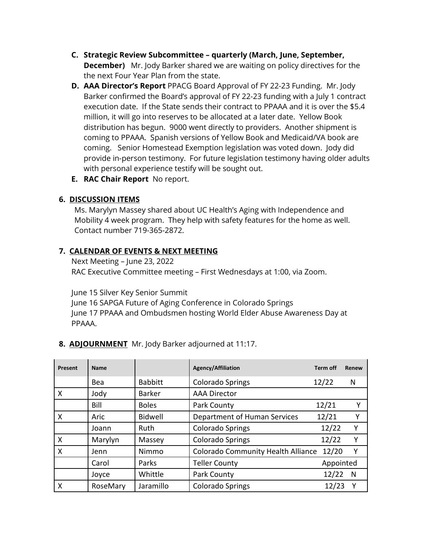- **C. Strategic Review Subcommittee quarterly (March, June, September, December)** Mr. Jody Barker shared we are waiting on policy directives for the the next Four Year Plan from the state.
- **D. AAA Director's Report** PPACG Board Approval of FY 22-23 Funding. Mr. Jody Barker confirmed the Board's approval of FY 22-23 funding with a July 1 contract execution date. If the State sends their contract to PPAAA and it is over the \$5.4 million, it will go into reserves to be allocated at a later date. Yellow Book distribution has begun. 9000 went directly to providers. Another shipment is coming to PPAAA. Spanish versions of Yellow Book and Medicaid/VA book are coming. Senior Homestead Exemption legislation was voted down. Jody did provide in-person testimony. For future legislation testimony having older adults with personal experience testify will be sought out.
- **E. RAC Chair Report** No report.

### **6. DISCUSSION ITEMS**

Ms. Marylyn Massey shared about UC Health's Aging with Independence and Mobility 4 week program. They help with safety features for the home as well. Contact number 719-365-2872.

### **7. CALENDAR OF EVENTS & NEXT MEETING**

Next Meeting – June 23, 2022 RAC Executive Committee meeting – First Wednesdays at 1:00, via Zoom.

June 15 Silver Key Senior Summit

June 16 SAPGA Future of Aging Conference in Colorado Springs June 17 PPAAA and Ombudsmen hosting World Elder Abuse Awareness Day at PPAAA.

### **8. ADJOURNMENT** Mr. Jody Barker adjourned at 11:17.

| Present | <b>Name</b> |                | <b>Agency/Affiliation</b>                 | <b>Term off</b> | Renew |
|---------|-------------|----------------|-------------------------------------------|-----------------|-------|
|         | Bea         | <b>Babbitt</b> | <b>Colorado Springs</b>                   | 12/22           | N     |
| X       | Jody        | <b>Barker</b>  | <b>AAA Director</b>                       |                 |       |
|         | Bill        | <b>Boles</b>   | Park County                               | 12/21           | Υ     |
| X       | Aric        | <b>Bidwell</b> | Department of Human Services              | 12/21           |       |
|         | Joann       | Ruth           | <b>Colorado Springs</b>                   | 12/22           | Y     |
| X       | Marylyn     | Massey         | <b>Colorado Springs</b>                   | 12/22           | Υ     |
| X       | Jenn        | Nimmo          | <b>Colorado Community Health Alliance</b> | 12/20           | Υ     |
|         | Carol       | Parks          | <b>Teller County</b>                      | Appointed       |       |
|         | Joyce       | Whittle        | Park County                               | 12/22           | N     |
| Χ       | RoseMary    | Jaramillo      | <b>Colorado Springs</b>                   | 12/23           | γ     |